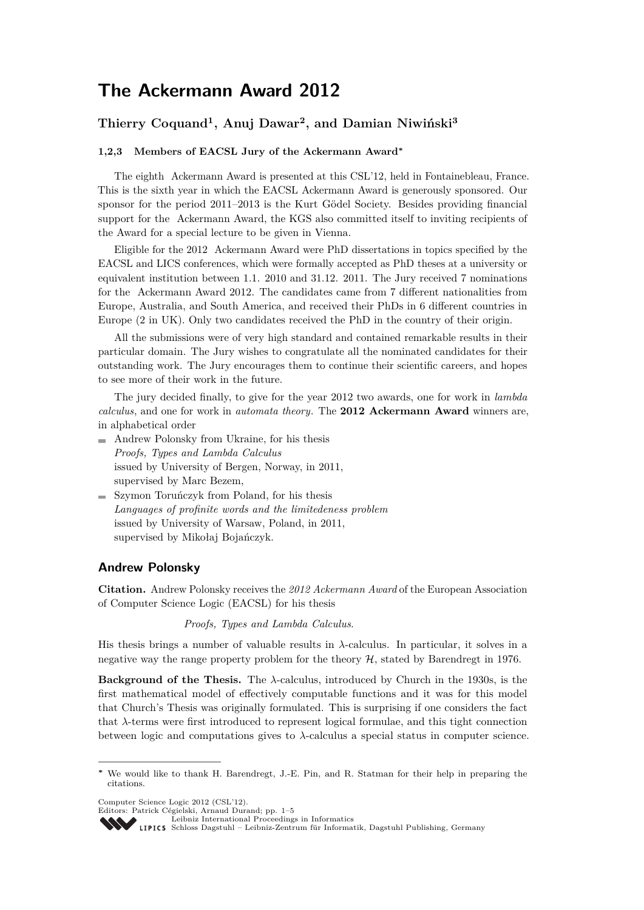# **The Ackermann Award 2012**

# **Thierry Coquand<sup>1</sup> , Anuj Dawar<sup>2</sup> , and Damian Niwiński<sup>3</sup>**

#### **1,2,3 Members of EACSL Jury of the Ackermann Award<sup>∗</sup>**

The eighth Ackermann Award is presented at this CSL'12, held in Fontainebleau, France. This is the sixth year in which the EACSL Ackermann Award is generously sponsored. Our sponsor for the period 2011–2013 is the Kurt Gödel Society. Besides providing financial support for the Ackermann Award, the KGS also committed itself to inviting recipients of the Award for a special lecture to be given in Vienna.

Eligible for the 2012 Ackermann Award were PhD dissertations in topics specified by the EACSL and LICS conferences, which were formally accepted as PhD theses at a university or equivalent institution between 1.1. 2010 and 31.12. 2011. The Jury received 7 nominations for the Ackermann Award 2012. The candidates came from 7 different nationalities from Europe, Australia, and South America, and received their PhDs in 6 different countries in Europe (2 in UK). Only two candidates received the PhD in the country of their origin.

All the submissions were of very high standard and contained remarkable results in their particular domain. The Jury wishes to congratulate all the nominated candidates for their outstanding work. The Jury encourages them to continue their scientific careers, and hopes to see more of their work in the future.

The jury decided finally, to give for the year 2012 two awards, one for work in *lambda calculus*, and one for work in *automata theory*. The **2012 Ackermann Award** winners are, in alphabetical order

- Andrew Polonsky from Ukraine, for his thesis *Proofs, Types and Lambda Calculus* issued by University of Bergen, Norway, in 2011, supervised by Marc Bezem,
- Szymon Toruńczyk from Poland, for his thesis *Languages of profinite words and the limitedeness problem* issued by University of Warsaw, Poland, in 2011, supervised by Mikołaj Bojańczyk.

#### **Andrew Polonsky**

**Citation.** Andrew Polonsky receives the *2012 Ackermann Award* of the European Association of Computer Science Logic (EACSL) for his thesis

*Proofs, Types and Lambda Calculus*.

His thesis brings a number of valuable results in *λ*-calculus. In particular, it solves in a negative way the range property problem for the theory  $H$ , stated by Barendregt in 1976.

**Background of the Thesis.** The *λ*-calculus, introduced by Church in the 1930s, is the first mathematical model of effectively computable functions and it was for this model that Church's Thesis was originally formulated. This is surprising if one considers the fact that *λ*-terms were first introduced to represent logical formulae, and this tight connection between logic and computations gives to  $\lambda$ -calculus a special status in computer science.

Computer Science Logic 2012 (CSL'12).

Editors: Patrick Cégielski, Arnaud Durand; pp. 1[–5](#page-4-0) [Leibniz International Proceedings in Informatics](http://www.dagstuhl.de/lipics/)

SCHLOSS Dagstuhl – Leibniz-Zentrum für Informatik, Dagstuhl Publishing, Germany

**<sup>∗</sup>** We would like to thank H. Barendregt, J.-E. Pin, and R. Statman for their help in preparing the citations.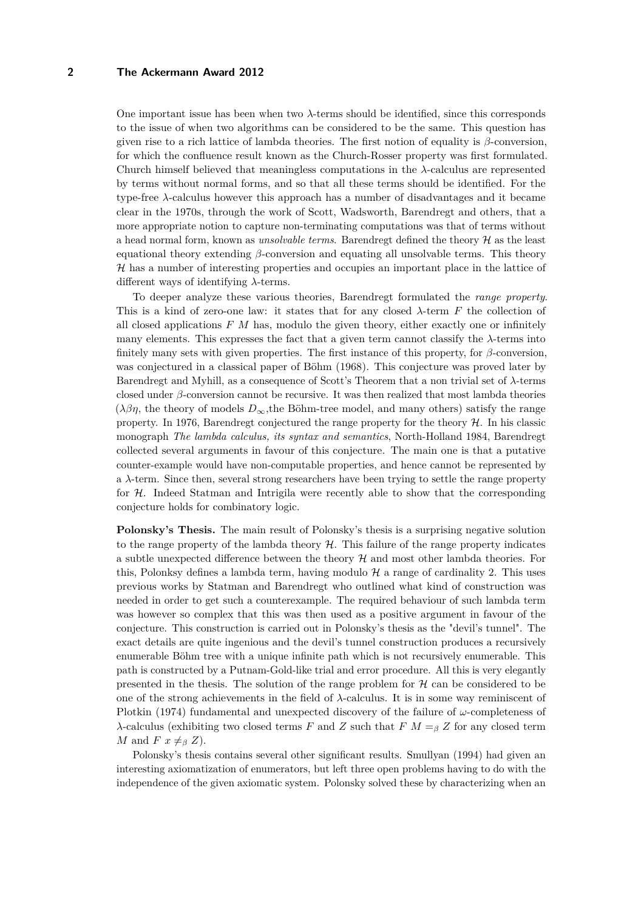#### **2 The Ackermann Award 2012**

One important issue has been when two *λ*-terms should be identified, since this corresponds to the issue of when two algorithms can be considered to be the same. This question has given rise to a rich lattice of lambda theories. The first notion of equality is *β*-conversion, for which the confluence result known as the Church-Rosser property was first formulated. Church himself believed that meaningless computations in the *λ*-calculus are represented by terms without normal forms, and so that all these terms should be identified. For the type-free *λ*-calculus however this approach has a number of disadvantages and it became clear in the 1970s, through the work of Scott, Wadsworth, Barendregt and others, that a more appropriate notion to capture non-terminating computations was that of terms without a head normal form, known as *unsolvable terms*. Barendregt defined the theory H as the least equational theory extending *β*-conversion and equating all unsolvable terms. This theory H has a number of interesting properties and occupies an important place in the lattice of different ways of identifying *λ*-terms.

To deeper analyze these various theories, Barendregt formulated the *range property*. This is a kind of zero-one law: it states that for any closed *λ*-term *F* the collection of all closed applications *F M* has, modulo the given theory, either exactly one or infinitely many elements. This expresses the fact that a given term cannot classify the  $\lambda$ -terms into finitely many sets with given properties. The first instance of this property, for *β*-conversion, was conjectured in a classical paper of Böhm (1968). This conjecture was proved later by Barendregt and Myhill, as a consequence of Scott's Theorem that a non trivial set of *λ*-terms closed under *β*-conversion cannot be recursive. It was then realized that most lambda theories  $(\lambda\beta\eta)$ , the theory of models  $D_{\infty}$ , the Böhm-tree model, and many others) satisfy the range property. In 1976, Barendregt conjectured the range property for the theory  $H$ . In his classic monograph *The lambda calculus, its syntax and semantics*, North-Holland 1984, Barendregt collected several arguments in favour of this conjecture. The main one is that a putative counter-example would have non-computable properties, and hence cannot be represented by a *λ*-term. Since then, several strong researchers have been trying to settle the range property for  $H$ . Indeed Statman and Intrigila were recently able to show that the corresponding conjecture holds for combinatory logic.

**Polonsky's Thesis.** The main result of Polonsky's thesis is a surprising negative solution to the range property of the lambda theory  $H$ . This failure of the range property indicates a subtle unexpected difference between the theory  $\mathcal H$  and most other lambda theories. For this, Polonksy defines a lambda term, having modulo  $H$  a range of cardinality 2. This uses previous works by Statman and Barendregt who outlined what kind of construction was needed in order to get such a counterexample. The required behaviour of such lambda term was however so complex that this was then used as a positive argument in favour of the conjecture. This construction is carried out in Polonsky's thesis as the "devil's tunnel". The exact details are quite ingenious and the devil's tunnel construction produces a recursively enumerable Böhm tree with a unique infinite path which is not recursively enumerable. This path is constructed by a Putnam-Gold-like trial and error procedure. All this is very elegantly presented in the thesis. The solution of the range problem for  $H$  can be considered to be one of the strong achievements in the field of *λ*-calculus. It is in some way reminiscent of Plotkin (1974) fundamental and unexpected discovery of the failure of *ω*-completeness of *λ*-calculus (exhibiting two closed terms *F* and *Z* such that  $F M = \beta Z$  for any closed term *M* and *F*  $x \neq_{\beta} Z$ ).

Polonsky's thesis contains several other significant results. Smullyan (1994) had given an interesting axiomatization of enumerators, but left three open problems having to do with the independence of the given axiomatic system. Polonsky solved these by characterizing when an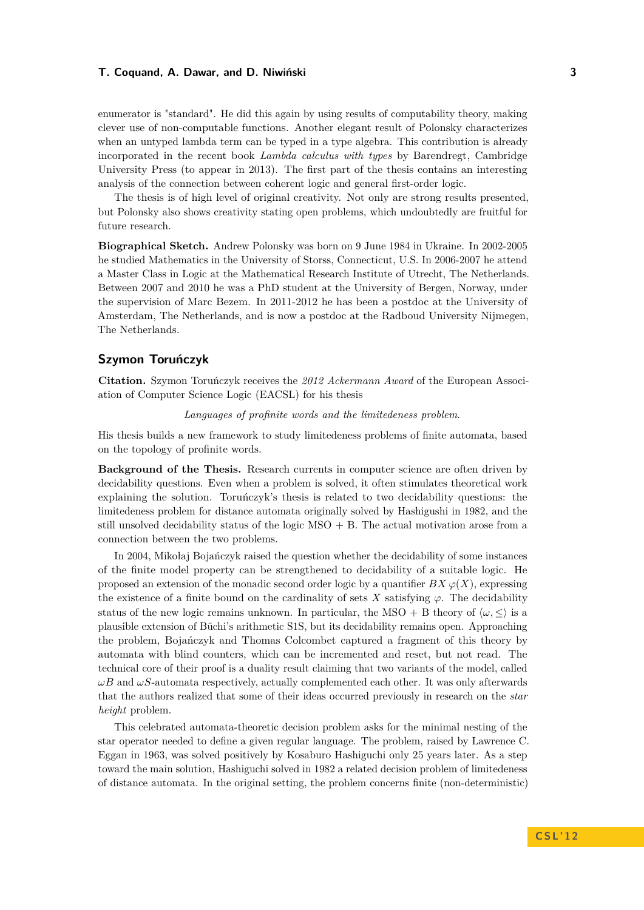#### **T. Coquand, A. Dawar, and D. Niwiński 3**

enumerator is "standard". He did this again by using results of computability theory, making clever use of non-computable functions. Another elegant result of Polonsky characterizes when an untyped lambda term can be typed in a type algebra. This contribution is already incorporated in the recent book *Lambda calculus with types* by Barendregt, Cambridge University Press (to appear in 2013). The first part of the thesis contains an interesting analysis of the connection between coherent logic and general first-order logic.

The thesis is of high level of original creativity. Not only are strong results presented, but Polonsky also shows creativity stating open problems, which undoubtedly are fruitful for future research.

**Biographical Sketch.** Andrew Polonsky was born on 9 June 1984 in Ukraine. In 2002-2005 he studied Mathematics in the University of Storss, Connecticut, U.S. In 2006-2007 he attend a Master Class in Logic at the Mathematical Research Institute of Utrecht, The Netherlands. Between 2007 and 2010 he was a PhD student at the University of Bergen, Norway, under the supervision of Marc Bezem. In 2011-2012 he has been a postdoc at the University of Amsterdam, The Netherlands, and is now a postdoc at the Radboud University Nijmegen, The Netherlands.

## **Szymon Toruńczyk**

**Citation.** Szymon Toruńczyk receives the *2012 Ackermann Award* of the European Association of Computer Science Logic (EACSL) for his thesis

#### *Languages of profinite words and the limitedeness problem*.

His thesis builds a new framework to study limitedeness problems of finite automata, based on the topology of profinite words.

**Background of the Thesis.** Research currents in computer science are often driven by decidability questions. Even when a problem is solved, it often stimulates theoretical work explaining the solution. Toruńczyk's thesis is related to two decidability questions: the limitedeness problem for distance automata originally solved by Hashigushi in 1982, and the still unsolved decidability status of the logic  $MSO + B$ . The actual motivation arose from a connection between the two problems.

In 2004, Mikołaj Bojańczyk raised the question whether the decidability of some instances of the finite model property can be strengthened to decidability of a suitable logic. He proposed an extension of the monadic second order logic by a quantifier  $BX \varphi(X)$ , expressing the existence of a finite bound on the cardinality of sets  $X$  satisfying  $\varphi$ . The decidability status of the new logic remains unknown. In particular, the MSO + B theory of  $\langle \omega, \langle \rangle$  is a plausible extension of Büchi's arithmetic S1S, but its decidability remains open. Approaching the problem, Bojańczyk and Thomas Colcombet captured a fragment of this theory by automata with blind counters, which can be incremented and reset, but not read. The technical core of their proof is a duality result claiming that two variants of the model, called  $\omega B$  and  $\omega S$ -automata respectively, actually complemented each other. It was only afterwards that the authors realized that some of their ideas occurred previously in research on the *star height* problem.

This celebrated automata-theoretic decision problem asks for the minimal nesting of the star operator needed to define a given regular language. The problem, raised by Lawrence C. Eggan in 1963, was solved positively by Kosaburo Hashiguchi only 25 years later. As a step toward the main solution, Hashiguchi solved in 1982 a related decision problem of limitedeness of distance automata. In the original setting, the problem concerns finite (non-deterministic)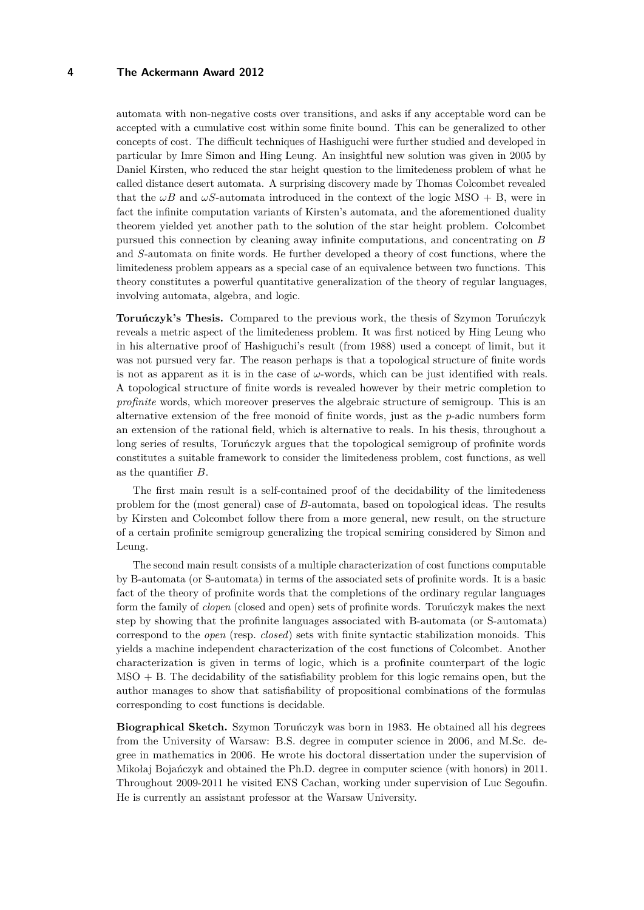#### **4 The Ackermann Award 2012**

automata with non-negative costs over transitions, and asks if any acceptable word can be accepted with a cumulative cost within some finite bound. This can be generalized to other concepts of cost. The difficult techniques of Hashiguchi were further studied and developed in particular by Imre Simon and Hing Leung. An insightful new solution was given in 2005 by Daniel Kirsten, who reduced the star height question to the limitedeness problem of what he called distance desert automata. A surprising discovery made by Thomas Colcombet revealed that the  $\omega B$  and  $\omega S$ -automata introduced in the context of the logic MSO + B, were in fact the infinite computation variants of Kirsten's automata, and the aforementioned duality theorem yielded yet another path to the solution of the star height problem. Colcombet pursued this connection by cleaning away infinite computations, and concentrating on *B* and *S*-automata on finite words. He further developed a theory of cost functions, where the limitedeness problem appears as a special case of an equivalence between two functions. This theory constitutes a powerful quantitative generalization of the theory of regular languages, involving automata, algebra, and logic.

**Toruńczyk's Thesis.** Compared to the previous work, the thesis of Szymon Toruńczyk reveals a metric aspect of the limitedeness problem. It was first noticed by Hing Leung who in his alternative proof of Hashiguchi's result (from 1988) used a concept of limit, but it was not pursued very far. The reason perhaps is that a topological structure of finite words is not as apparent as it is in the case of *ω*-words, which can be just identified with reals. A topological structure of finite words is revealed however by their metric completion to *profinite* words, which moreover preserves the algebraic structure of semigroup. This is an alternative extension of the free monoid of finite words, just as the *p*-adic numbers form an extension of the rational field, which is alternative to reals. In his thesis, throughout a long series of results, Toruńczyk argues that the topological semigroup of profinite words constitutes a suitable framework to consider the limitedeness problem, cost functions, as well as the quantifier *B*.

The first main result is a self-contained proof of the decidability of the limitedeness problem for the (most general) case of *B*-automata, based on topological ideas. The results by Kirsten and Colcombet follow there from a more general, new result, on the structure of a certain profinite semigroup generalizing the tropical semiring considered by Simon and Leung.

The second main result consists of a multiple characterization of cost functions computable by B-automata (or S-automata) in terms of the associated sets of profinite words. It is a basic fact of the theory of profinite words that the completions of the ordinary regular languages form the family of *clopen* (closed and open) sets of profinite words. Toruńczyk makes the next step by showing that the profinite languages associated with B-automata (or S-automata) correspond to the *open* (resp. *closed*) sets with finite syntactic stabilization monoids. This yields a machine independent characterization of the cost functions of Colcombet. Another characterization is given in terms of logic, which is a profinite counterpart of the logic  $MSO + B$ . The decidability of the satisfiability problem for this logic remains open, but the author manages to show that satisfiability of propositional combinations of the formulas corresponding to cost functions is decidable.

**Biographical Sketch.** Szymon Toruńczyk was born in 1983. He obtained all his degrees from the University of Warsaw: B.S. degree in computer science in 2006, and M.Sc. degree in mathematics in 2006. He wrote his doctoral dissertation under the supervision of Mikołaj Bojańczyk and obtained the Ph.D. degree in computer science (with honors) in 2011. Throughout 2009-2011 he visited ENS Cachan, working under supervision of Luc Segoufin. He is currently an assistant professor at the Warsaw University.